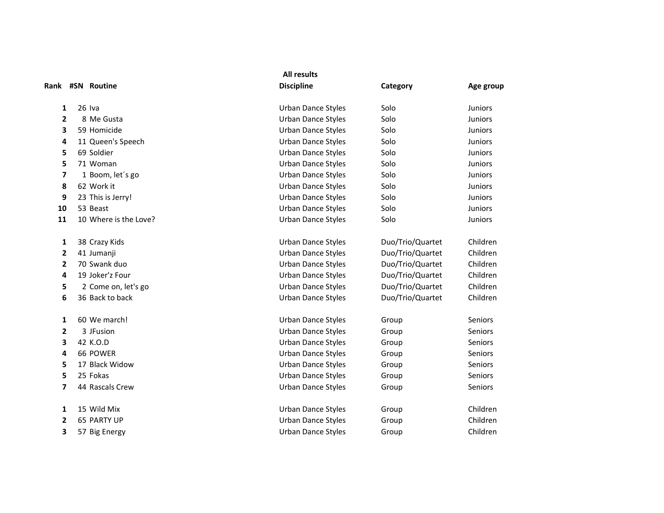|                |                       | <b>All results</b>        |                  |                |
|----------------|-----------------------|---------------------------|------------------|----------------|
|                | Rank #SN Routine      | <b>Discipline</b>         | Category         | Age group      |
| 1              | $26$ Iva              | <b>Urban Dance Styles</b> | Solo             | <b>Juniors</b> |
| $\mathbf{2}$   | 8 Me Gusta            | Urban Dance Styles        | Solo             | <b>Juniors</b> |
| 3              | 59 Homicide           | <b>Urban Dance Styles</b> | Solo             | <b>Juniors</b> |
| 4              | 11 Queen's Speech     | <b>Urban Dance Styles</b> | Solo             | <b>Juniors</b> |
| 5              | 69 Soldier            | <b>Urban Dance Styles</b> | Solo             | <b>Juniors</b> |
| 5              | 71 Woman              | <b>Urban Dance Styles</b> | Solo             | Juniors        |
| 7              | 1 Boom, let's go      | <b>Urban Dance Styles</b> | Solo             | <b>Juniors</b> |
| 8              | 62 Work it            | <b>Urban Dance Styles</b> | Solo             | Juniors        |
| 9              | 23 This is Jerry!     | <b>Urban Dance Styles</b> | Solo             | <b>Juniors</b> |
| 10             | 53 Beast              | <b>Urban Dance Styles</b> | Solo             | Juniors        |
| 11             | 10 Where is the Love? | <b>Urban Dance Styles</b> | Solo             | <b>Juniors</b> |
| 1              | 38 Crazy Kids         | <b>Urban Dance Styles</b> | Duo/Trio/Quartet | Children       |
| 2              | 41 Jumanji            | <b>Urban Dance Styles</b> | Duo/Trio/Quartet | Children       |
| 2              | 70 Swank duo          | <b>Urban Dance Styles</b> | Duo/Trio/Quartet | Children       |
| 4              | 19 Joker'z Four       | <b>Urban Dance Styles</b> | Duo/Trio/Quartet | Children       |
| 5              | 2 Come on, let's go   | <b>Urban Dance Styles</b> | Duo/Trio/Quartet | Children       |
| 6              | 36 Back to back       | <b>Urban Dance Styles</b> | Duo/Trio/Quartet | Children       |
| 1              | 60 We march!          | <b>Urban Dance Styles</b> | Group            | Seniors        |
| $\overline{2}$ | 3 JFusion             | <b>Urban Dance Styles</b> | Group            | Seniors        |
| 3              | 42 K.O.D              | <b>Urban Dance Styles</b> | Group            | Seniors        |
| 4              | 66 POWER              | Urban Dance Styles        | Group            | Seniors        |
| 5              | 17 Black Widow        | <b>Urban Dance Styles</b> | Group            | Seniors        |
| 5              | 25 Fokas              | <b>Urban Dance Styles</b> | Group            | Seniors        |
| 7              | 44 Rascals Crew       | <b>Urban Dance Styles</b> | Group            | Seniors        |
| 1              | 15 Wild Mix           | <b>Urban Dance Styles</b> | Group            | Children       |
| $\overline{2}$ | 65 PARTY UP           | <b>Urban Dance Styles</b> | Group            | Children       |
| 3              | 57 Big Energy         | <b>Urban Dance Styles</b> | Group            | Children       |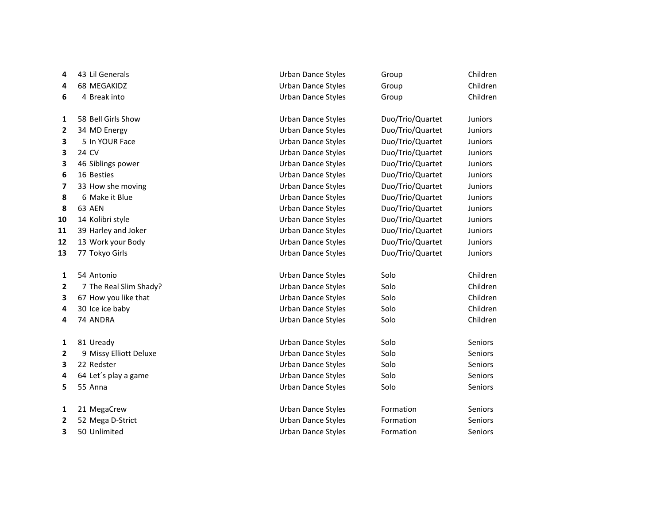| 4  | 43 Lil Generals        | Urban Dance Styles        | Group            | Children       |
|----|------------------------|---------------------------|------------------|----------------|
| 4  | 68 MEGAKIDZ            | Urban Dance Styles        | Group            | Children       |
| 6  | 4 Break into           | <b>Urban Dance Styles</b> | Group            | Children       |
| 1  | 58 Bell Girls Show     | Urban Dance Styles        | Duo/Trio/Quartet | Juniors        |
| 2  | 34 MD Energy           | Urban Dance Styles        | Duo/Trio/Quartet | Juniors        |
| 3  | 5 In YOUR Face         | Urban Dance Styles        | Duo/Trio/Quartet | Juniors        |
| 3  | 24 CV                  | <b>Urban Dance Styles</b> | Duo/Trio/Quartet | <b>Juniors</b> |
| 3  | 46 Siblings power      | <b>Urban Dance Styles</b> | Duo/Trio/Quartet | <b>Juniors</b> |
| 6  | 16 Besties             | <b>Urban Dance Styles</b> | Duo/Trio/Quartet | Juniors        |
| 7  | 33 How she moving      | Urban Dance Styles        | Duo/Trio/Quartet | Juniors        |
| 8  | 6 Make it Blue         | Urban Dance Styles        | Duo/Trio/Quartet | Juniors        |
| 8  | 63 AEN                 | Urban Dance Styles        | Duo/Trio/Quartet | Juniors        |
| 10 | 14 Kolibri style       | <b>Urban Dance Styles</b> | Duo/Trio/Quartet | <b>Juniors</b> |
| 11 | 39 Harley and Joker    | <b>Urban Dance Styles</b> | Duo/Trio/Quartet | <b>Juniors</b> |
| 12 | 13 Work your Body      | Urban Dance Styles        | Duo/Trio/Quartet | Juniors        |
| 13 | 77 Tokyo Girls         | Urban Dance Styles        | Duo/Trio/Quartet | Juniors        |
| 1  | 54 Antonio             | <b>Urban Dance Styles</b> | Solo             | Children       |
| 2  | 7 The Real Slim Shady? | <b>Urban Dance Styles</b> | Solo             | Children       |
| 3  | 67 How you like that   | <b>Urban Dance Styles</b> | Solo             | Children       |
| 4  | 30 Ice ice baby        | Urban Dance Styles        | Solo             | Children       |
| 4  | 74 ANDRA               | Urban Dance Styles        | Solo             | Children       |
| 1  | 81 Uready              | <b>Urban Dance Styles</b> | Solo             | Seniors        |
| 2  | 9 Missy Elliott Deluxe | <b>Urban Dance Styles</b> | Solo             | Seniors        |
| З  | 22 Redster             | Urban Dance Styles        | Solo             | Seniors        |
| 4  | 64 Let's play a game   | Urban Dance Styles        | Solo             | Seniors        |
| 5  | 55 Anna                | <b>Urban Dance Styles</b> | Solo             | Seniors        |
| 1  | 21 MegaCrew            | <b>Urban Dance Styles</b> | Formation        | Seniors        |
| 2  | 52 Mega D-Strict       | Urban Dance Styles        | Formation        | Seniors        |
| 3  | 50 Unlimited           | <b>Urban Dance Styles</b> | Formation        | <b>Seniors</b> |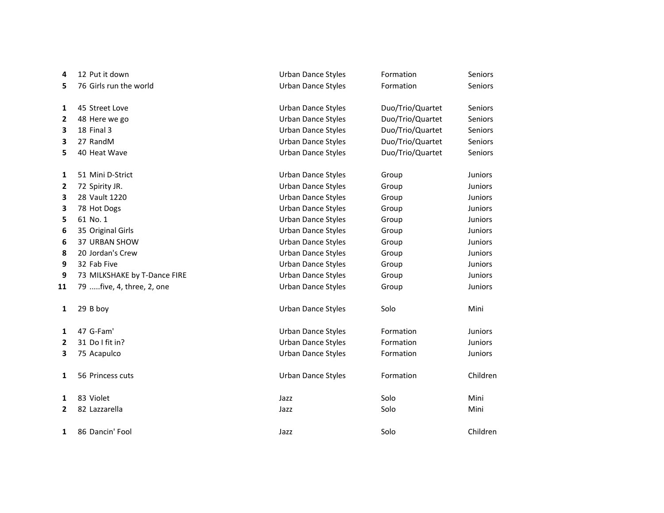| 4  | 12 Put it down               | <b>Urban Dance Styles</b> | Formation        | Seniors        |
|----|------------------------------|---------------------------|------------------|----------------|
| 5  | 76 Girls run the world       | <b>Urban Dance Styles</b> | Formation        | Seniors        |
| 1  | 45 Street Love               | Urban Dance Styles        | Duo/Trio/Quartet | Seniors        |
| 2  | 48 Here we go                | <b>Urban Dance Styles</b> | Duo/Trio/Quartet | Seniors        |
| 3  | 18 Final 3                   | <b>Urban Dance Styles</b> | Duo/Trio/Quartet | Seniors        |
| 3  | 27 RandM                     | <b>Urban Dance Styles</b> | Duo/Trio/Quartet | Seniors        |
| 5  | 40 Heat Wave                 | <b>Urban Dance Styles</b> | Duo/Trio/Quartet | Seniors        |
| 1  | 51 Mini D-Strict             | <b>Urban Dance Styles</b> | Group            | Juniors        |
| 2  | 72 Spirity JR.               | <b>Urban Dance Styles</b> | Group            | Juniors        |
| 3  | 28 Vault 1220                | <b>Urban Dance Styles</b> | Group            | Juniors        |
| 3  | 78 Hot Dogs                  | <b>Urban Dance Styles</b> | Group            | Juniors        |
| 5  | 61 No. 1                     | <b>Urban Dance Styles</b> | Group            | Juniors        |
| 6  | 35 Original Girls            | <b>Urban Dance Styles</b> | Group            | <b>Juniors</b> |
| 6  | 37 URBAN SHOW                | <b>Urban Dance Styles</b> | Group            | Juniors        |
| 8  | 20 Jordan's Crew             | <b>Urban Dance Styles</b> | Group            | Juniors        |
| 9  | 32 Fab Five                  | Urban Dance Styles        | Group            | Juniors        |
| 9  | 73 MILKSHAKE by T-Dance FIRE | Urban Dance Styles        | Group            | <b>Juniors</b> |
| 11 | 79  five, 4, three, 2, one   | <b>Urban Dance Styles</b> | Group            | Juniors        |
| 1  | 29 B boy                     | <b>Urban Dance Styles</b> | Solo             | Mini           |
| 1  | 47 G-Fam'                    | <b>Urban Dance Styles</b> | Formation        | <b>Juniors</b> |
| 2  | 31 Do I fit in?              | Urban Dance Styles        | Formation        | Juniors        |
| 3  | 75 Acapulco                  | Urban Dance Styles        | Formation        | Juniors        |
| 1  | 56 Princess cuts             | <b>Urban Dance Styles</b> | Formation        | Children       |
| 1  | 83 Violet                    | Jazz                      | Solo             | Mini           |
| 2  | 82 Lazzarella                | Jazz                      | Solo             | Mini           |
| 1  | 86 Dancin' Fool              | Jazz                      | Solo             | Children       |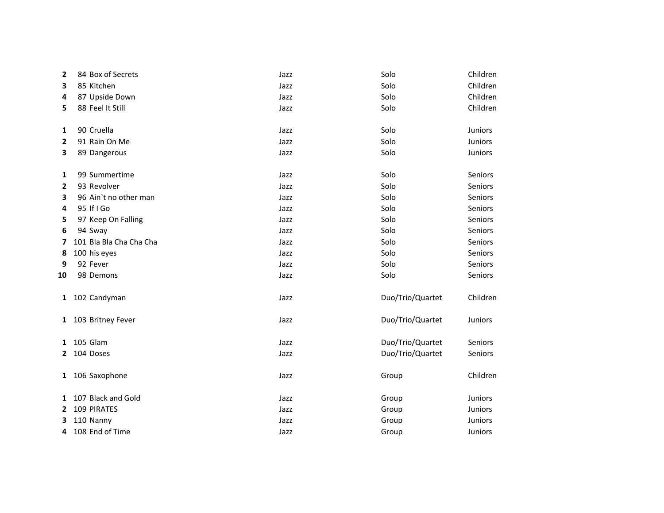| 2            | 84 Box of Secrets       | Jazz | Solo             | Children       |
|--------------|-------------------------|------|------------------|----------------|
| 3            | 85 Kitchen              | Jazz | Solo             | Children       |
| 4            | 87 Upside Down          | Jazz | Solo             | Children       |
| 5            | 88 Feel It Still        | Jazz | Solo             | Children       |
| 1            | 90 Cruella              | Jazz | Solo             | Juniors        |
| 2            | 91 Rain On Me           | Jazz | Solo             | <b>Juniors</b> |
| 3            | 89 Dangerous            | Jazz | Solo             | Juniors        |
| 1            | 99 Summertime           | Jazz | Solo             | Seniors        |
| 2            | 93 Revolver             | Jazz | Solo             | Seniors        |
| 3            | 96 Ain't no other man   | Jazz | Solo             | Seniors        |
| 4            | 95 If I Go              | Jazz | Solo             | Seniors        |
| 5            | 97 Keep On Falling      | Jazz | Solo             | Seniors        |
| 6            | 94 Sway                 | Jazz | Solo             | Seniors        |
| 7            | 101 Bla Bla Cha Cha Cha | Jazz | Solo             | Seniors        |
| 8            | 100 his eyes            | Jazz | Solo             | Seniors        |
| 9            | 92 Fever                | Jazz | Solo             | Seniors        |
| 10           | 98 Demons               | Jazz | Solo             | Seniors        |
| $\mathbf{1}$ | 102 Candyman            | Jazz | Duo/Trio/Quartet | Children       |
| $\mathbf{1}$ | 103 Britney Fever       | Jazz | Duo/Trio/Quartet | Juniors        |
| 1            | 105 Glam                | Jazz | Duo/Trio/Quartet | Seniors        |
| 2            | 104 Doses               | Jazz | Duo/Trio/Quartet | Seniors        |
|              | 1 106 Saxophone         | Jazz | Group            | Children       |
| 1            | 107 Black and Gold      | Jazz | Group            | Juniors        |
| 2            | 109 PIRATES             | Jazz | Group            | <b>Juniors</b> |
| з            | 110 Nanny               | Jazz | Group            | Juniors        |
| 4            | 108 End of Time         | Jazz | Group            | Juniors        |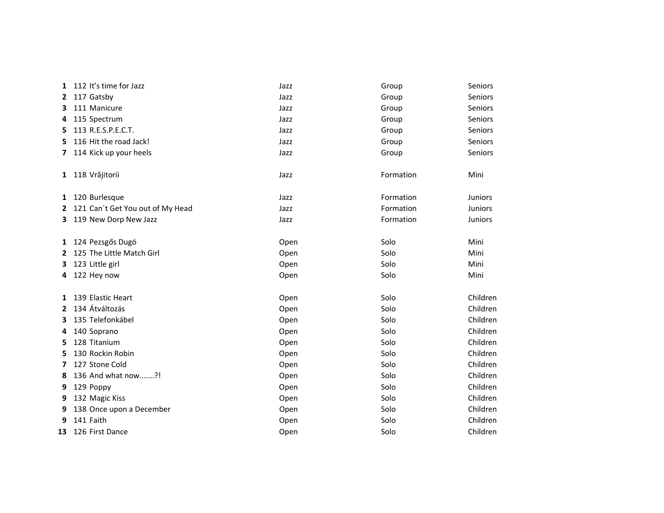| 1            | 112 It's time for Jazz             | Jazz | Group     | Seniors        |
|--------------|------------------------------------|------|-----------|----------------|
| 2            | 117 Gatsby                         | Jazz | Group     | <b>Seniors</b> |
| з            | 111 Manicure                       | Jazz | Group     | Seniors        |
| 4            | 115 Spectrum                       | Jazz | Group     | Seniors        |
| 5            | 113 R.E.S.P.E.C.T.                 | Jazz | Group     | Seniors        |
| 5            | 116 Hit the road Jack!             | Jazz | Group     | Seniors        |
| 7            | 114 Kick up your heels             | Jazz | Group     | Seniors        |
| $\mathbf{1}$ | 118 Vrăjitorii                     | Jazz | Formation | Mini           |
| 1            | 120 Burlesque                      | Jazz | Formation | <b>Juniors</b> |
|              | 2 121 Can't Get You out of My Head | Jazz | Formation | <b>Juniors</b> |
| 3.           | 119 New Dorp New Jazz              | Jazz | Formation | <b>Juniors</b> |
|              | 1 124 Pezsgős Dugó                 | Open | Solo      | Mini           |
| $\mathbf{2}$ | 125 The Little Match Girl          | Open | Solo      | Mini           |
| 3            | 123 Little girl                    | Open | Solo      | Mini           |
| 4            | 122 Hey now                        | Open | Solo      | Mini           |
| 1            | 139 Elastic Heart                  | Open | Solo      | Children       |
| $\mathbf{2}$ | 134 Átváltozás                     | Open | Solo      | Children       |
| з            | 135 Telefonkábel                   | Open | Solo      | Children       |
| 4            | 140 Soprano                        | Open | Solo      | Children       |
| 5            | 128 Titanium                       | Open | Solo      | Children       |
| 5            | 130 Rockin Robin                   | Open | Solo      | Children       |
| 7            | 127 Stone Cold                     | Open | Solo      | Children       |
| 8            | 136 And what now?!                 | Open | Solo      | Children       |
| 9            | 129 Poppy                          | Open | Solo      | Children       |
| 9            | 132 Magic Kiss                     | Open | Solo      | Children       |
| 9            | 138 Once upon a December           | Open | Solo      | Children       |
| 9            | 141 Faith                          | Open | Solo      | Children       |
| 13           | 126 First Dance                    | Open | Solo      | Children       |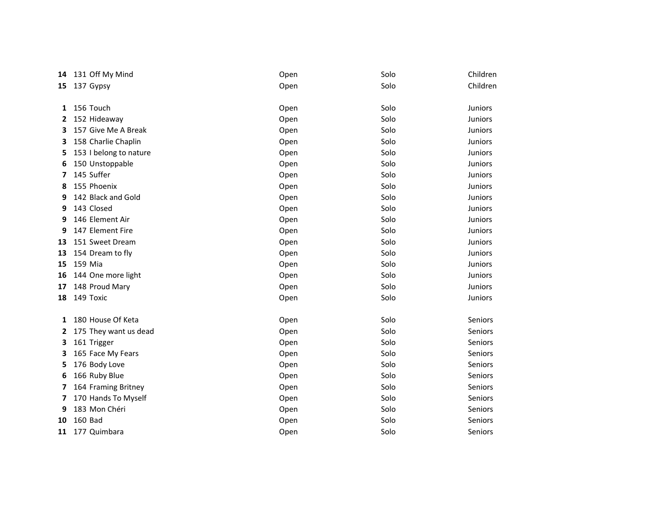| 14 | 131 Off My Mind        | Open | Solo | Children       |
|----|------------------------|------|------|----------------|
| 15 | 137 Gypsy              | Open | Solo | Children       |
|    |                        |      |      |                |
| 1  | 156 Touch              | Open | Solo | <b>Juniors</b> |
| 2  | 152 Hideaway           | Open | Solo | Juniors        |
| 3  | 157 Give Me A Break    | Open | Solo | Juniors        |
| 3  | 158 Charlie Chaplin    | Open | Solo | Juniors        |
| 5  | 153 I belong to nature | Open | Solo | <b>Juniors</b> |
| 6  | 150 Unstoppable        | Open | Solo | <b>Juniors</b> |
| 7  | 145 Suffer             | Open | Solo | Juniors        |
| 8  | 155 Phoenix            | Open | Solo | Juniors        |
| 9  | 142 Black and Gold     | Open | Solo | <b>Juniors</b> |
| 9  | 143 Closed             | Open | Solo | Juniors        |
| 9  | 146 Element Air        | Open | Solo | <b>Juniors</b> |
| 9  | 147 Element Fire       | Open | Solo | <b>Juniors</b> |
| 13 | 151 Sweet Dream        | Open | Solo | Juniors        |
| 13 | 154 Dream to fly       | Open | Solo | <b>Juniors</b> |
| 15 | 159 Mia                | Open | Solo | Juniors        |
| 16 | 144 One more light     | Open | Solo | <b>Juniors</b> |
| 17 | 148 Proud Mary         | Open | Solo | <b>Juniors</b> |
| 18 | 149 Toxic              | Open | Solo | <b>Juniors</b> |
| 1  | 180 House Of Keta      | Open | Solo | Seniors        |
| 2  | 175 They want us dead  | Open | Solo | Seniors        |
| з  | 161 Trigger            | Open | Solo | <b>Seniors</b> |
| 3  | 165 Face My Fears      | Open | Solo | Seniors        |
| 5  | 176 Body Love          | Open | Solo | Seniors        |
| 6  | 166 Ruby Blue          | Open | Solo | Seniors        |
| 7  | 164 Framing Britney    | Open | Solo | Seniors        |
| 7  | 170 Hands To Myself    | Open | Solo | Seniors        |
| 9  | 183 Mon Chéri          |      | Solo | <b>Seniors</b> |
|    | 160 Bad                | Open | Solo | Seniors        |
| 10 |                        | Open |      |                |
| 11 | 177 Quimbara           | Open | Solo | Seniors        |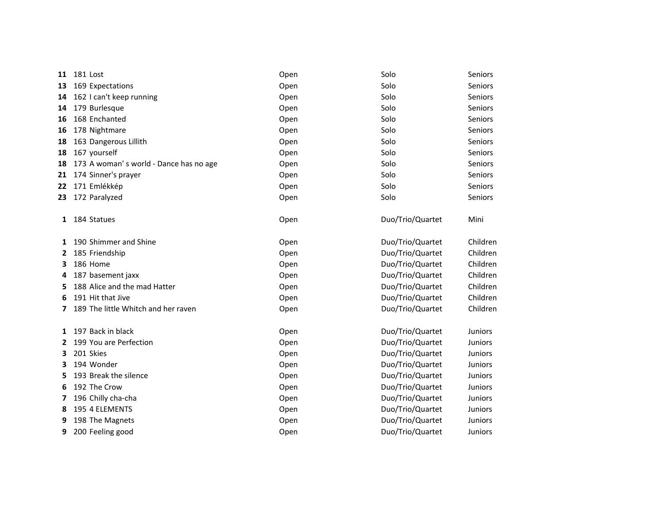| 11 | 181 Lost                               | Open | Solo             | Seniors        |
|----|----------------------------------------|------|------------------|----------------|
| 13 | 169 Expectations                       | Open | Solo             | Seniors        |
| 14 | 162 I can't keep running               | Open | Solo             | Seniors        |
| 14 | 179 Burlesque                          | Open | Solo             | <b>Seniors</b> |
| 16 | 168 Enchanted                          | Open | Solo             | Seniors        |
| 16 | 178 Nightmare                          | Open | Solo             | Seniors        |
| 18 | 163 Dangerous Lillith                  | Open | Solo             | Seniors        |
| 18 | 167 yourself                           | Open | Solo             | Seniors        |
| 18 | 173 A woman's world - Dance has no age | Open | Solo             | Seniors        |
| 21 | 174 Sinner's prayer                    | Open | Solo             | <b>Seniors</b> |
| 22 | 171 Emlékkép                           | Open | Solo             | Seniors        |
| 23 | 172 Paralyzed                          | Open | Solo             | Seniors        |
| 1  | 184 Statues                            | Open | Duo/Trio/Quartet | Mini           |
| 1  | 190 Shimmer and Shine                  | Open | Duo/Trio/Quartet | Children       |
| 2  | 185 Friendship                         | Open | Duo/Trio/Quartet | Children       |
| 3  | 186 Home                               | Open | Duo/Trio/Quartet | Children       |
| 4  | 187 basement jaxx                      | Open | Duo/Trio/Quartet | Children       |
| 5. | 188 Alice and the mad Hatter           | Open | Duo/Trio/Quartet | Children       |
| 6  | 191 Hit that Jive                      | Open | Duo/Trio/Quartet | Children       |
| 7  | 189 The little Whitch and her raven    | Open | Duo/Trio/Quartet | Children       |
| 1  | 197 Back in black                      | Open | Duo/Trio/Quartet | <b>Juniors</b> |
| 2  | 199 You are Perfection                 | Open | Duo/Trio/Quartet | <b>Juniors</b> |
| 3  | 201 Skies                              | Open | Duo/Trio/Quartet | <b>Juniors</b> |
| з  | 194 Wonder                             | Open | Duo/Trio/Quartet | <b>Juniors</b> |
| 5  | 193 Break the silence                  | Open | Duo/Trio/Quartet | <b>Juniors</b> |
| 6  | 192 The Crow                           | Open | Duo/Trio/Quartet | Juniors        |
| 7  | 196 Chilly cha-cha                     | Open | Duo/Trio/Quartet | <b>Juniors</b> |
| 8  | 195 4 ELEMENTS                         | Open | Duo/Trio/Quartet | <b>Juniors</b> |
| 9  | 198 The Magnets                        | Open | Duo/Trio/Quartet | <b>Juniors</b> |
| 9  | 200 Feeling good                       | Open | Duo/Trio/Quartet | <b>Juniors</b> |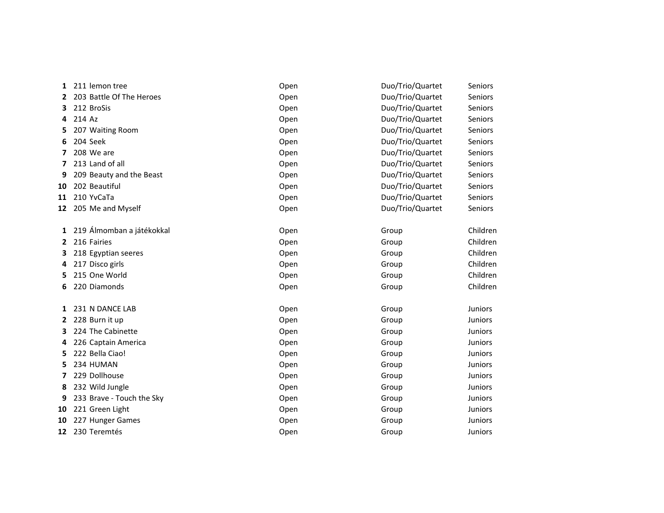| 1            | 211 lemon tree            | Open | Duo/Trio/Quartet | <b>Seniors</b> |
|--------------|---------------------------|------|------------------|----------------|
| 2            | 203 Battle Of The Heroes  | Open | Duo/Trio/Quartet | Seniors        |
| 3.           | 212 BroSis                | Open | Duo/Trio/Quartet | <b>Seniors</b> |
| 4            | 214 Az                    | Open | Duo/Trio/Quartet | Seniors        |
| 5            | 207 Waiting Room          | Open | Duo/Trio/Quartet | Seniors        |
| 6            | 204 Seek                  | Open | Duo/Trio/Quartet | <b>Seniors</b> |
| 7            | 208 We are                | Open | Duo/Trio/Quartet | <b>Seniors</b> |
| 7            | 213 Land of all           | Open | Duo/Trio/Quartet | Seniors        |
| 9            | 209 Beauty and the Beast  | Open | Duo/Trio/Quartet | <b>Seniors</b> |
| 10           | 202 Beautiful             | Open | Duo/Trio/Quartet | <b>Seniors</b> |
| 11           | 210 YvCaTa                | Open | Duo/Trio/Quartet | Seniors        |
|              | 12 205 Me and Myself      | Open | Duo/Trio/Quartet | <b>Seniors</b> |
|              |                           |      |                  |                |
| 1            | 219 Álmomban a játékokkal | Open | Group            | Children       |
| 2            | 216 Fairies               | Open | Group            | Children       |
| 3            | 218 Egyptian seeres       | Open | Group            | Children       |
| 4            | 217 Disco girls           | Open | Group            | Children       |
| 5            | 215 One World             | Open | Group            | Children       |
| 6            | 220 Diamonds              | Open | Group            | Children       |
|              |                           |      |                  |                |
| $\mathbf{1}$ | 231 N DANCE LAB           | Open | Group            | <b>Juniors</b> |
| 2            | 228 Burn it up            | Open | Group            | Juniors        |
| 3.           | 224 The Cabinette         | Open | Group            | <b>Juniors</b> |
| 4            | 226 Captain America       | Open | Group            | Juniors        |
| 5.           | 222 Bella Ciao!           | Open | Group            | Juniors        |
| 5            | 234 HUMAN                 | Open | Group            | Juniors        |
| 7            | 229 Dollhouse             | Open | Group            | Juniors        |
| 8            | 232 Wild Jungle           | Open | Group            | <b>Juniors</b> |
| 9            | 233 Brave - Touch the Sky | Open | Group            | Juniors        |
| 10           | 221 Green Light           | Open | Group            | Juniors        |
| 10           | 227 Hunger Games          | Open | Group            | <b>Juniors</b> |
| 12           | 230 Teremtés              | Open | Group            | <b>Juniors</b> |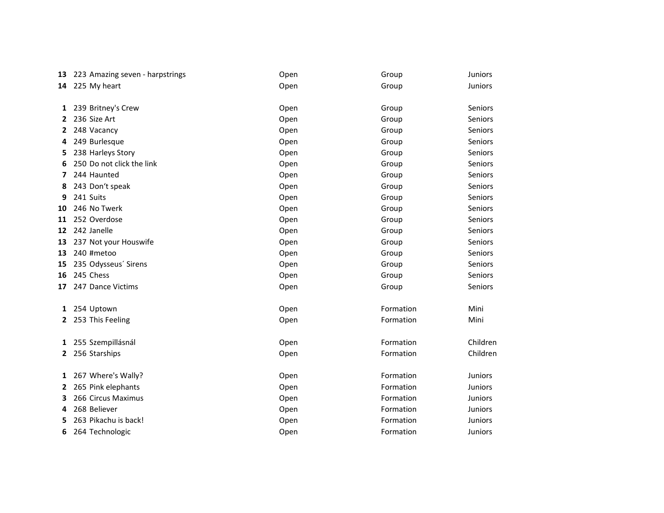| 13 | 223 Amazing seven - harpstrings | Open | Group     | Juniors        |
|----|---------------------------------|------|-----------|----------------|
| 14 | 225 My heart                    | Open | Group     | Juniors        |
| 1  | 239 Britney's Crew              | Open | Group     | Seniors        |
| 2  | 236 Size Art                    | Open | Group     | Seniors        |
| 2  | 248 Vacancy                     | Open | Group     | Seniors        |
| 4  | 249 Burlesque                   | Open | Group     | Seniors        |
| 5  | 238 Harleys Story               | Open | Group     | Seniors        |
|    | 250 Do not click the link       | Open | Group     | Seniors        |
| 7  | 244 Haunted                     | Open | Group     | Seniors        |
| 8  | 243 Don't speak                 | Open | Group     | Seniors        |
| 9  | 241 Suits                       | Open | Group     | Seniors        |
| 10 | 246 No Twerk                    | Open | Group     | Seniors        |
| 11 | 252 Overdose                    | Open | Group     | Seniors        |
| 12 | 242 Janelle                     | Open | Group     | Seniors        |
| 13 | 237 Not your Houswife           | Open | Group     | Seniors        |
| 13 | 240 #metoo                      | Open | Group     | Seniors        |
| 15 | 235 Odysseus' Sirens            | Open | Group     | Seniors        |
| 16 | 245 Chess                       | Open | Group     | Seniors        |
| 17 | 247 Dance Victims               | Open | Group     | Seniors        |
| 1  | 254 Uptown                      | Open | Formation | Mini           |
|    | 2 253 This Feeling              | Open | Formation | Mini           |
| 1  | 255 Szempillásnál               | Open | Formation | Children       |
| 2  | 256 Starships                   | Open | Formation | Children       |
| 1  | 267 Where's Wally?              | Open | Formation | Juniors        |
| 2  | 265 Pink elephants              | Open | Formation | Juniors        |
| 3  | 266 Circus Maximus              | Open | Formation | <b>Juniors</b> |
| 4  | 268 Believer                    | Open | Formation | Juniors        |
| 5  | 263 Pikachu is back!            | Open | Formation | <b>Juniors</b> |
| 6  | 264 Technologic                 | Open | Formation | <b>Juniors</b> |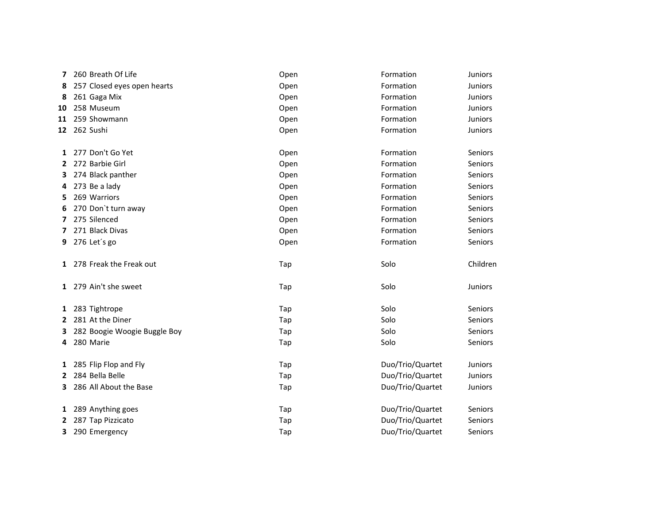| 7  | 260 Breath Of Life           | Open | Formation        | <b>Juniors</b> |
|----|------------------------------|------|------------------|----------------|
| 8  | 257 Closed eyes open hearts  | Open | Formation        | Juniors        |
| 8  | 261 Gaga Mix                 | Open | Formation        | <b>Juniors</b> |
| 10 | 258 Museum                   | Open | Formation        | <b>Juniors</b> |
|    | 11 259 Showmann              | Open | Formation        | Juniors        |
| 12 | 262 Sushi                    | Open | Formation        | Juniors        |
| 1  | 277 Don't Go Yet             | Open | Formation        | Seniors        |
| 2  | 272 Barbie Girl              | Open | Formation        | Seniors        |
| 3  | 274 Black panther            | Open | Formation        | Seniors        |
| 4  | 273 Be a lady                | Open | Formation        | Seniors        |
| 5  | 269 Warriors                 | Open | Formation        | <b>Seniors</b> |
| 6  | 270 Don't turn away          | Open | Formation        | Seniors        |
| 7  | 275 Silenced                 | Open | Formation        | Seniors        |
| 7  | 271 Black Divas              | Open | Formation        | Seniors        |
| 9  | 276 Let's go                 | Open | Formation        | Seniors        |
|    | 1 278 Freak the Freak out    | Tap  | Solo             | Children       |
|    | 1 279 Ain't she sweet        | Tap  | Solo             | Juniors        |
|    | 1 283 Tightrope              | Tap  | Solo             | Seniors        |
|    | 2 281 At the Diner           | Tap  | Solo             | Seniors        |
| З  | 282 Boogie Woogie Buggle Boy | Tap  | Solo             | Seniors        |
| 4  | 280 Marie                    | Tap  | Solo             | Seniors        |
|    | 1 285 Flip Flop and Fly      | Tap  | Duo/Trio/Quartet | <b>Juniors</b> |
| 2  | 284 Bella Belle              | Tap  | Duo/Trio/Quartet | Juniors        |
| 3  | 286 All About the Base       | Tap  | Duo/Trio/Quartet | Juniors        |
|    | 1 289 Anything goes          | Tap  | Duo/Trio/Quartet | Seniors        |
| 2  | 287 Tap Pizzicato            | Tap  | Duo/Trio/Quartet | Seniors        |
| 3  | 290 Emergency                | Tap  | Duo/Trio/Quartet | Seniors        |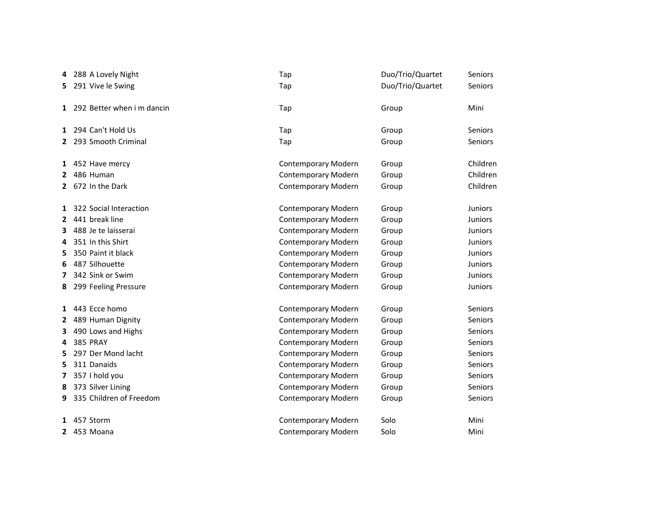|              | 288 A Lovely Night           | Tap                        | Duo/Trio/Quartet | Seniors        |
|--------------|------------------------------|----------------------------|------------------|----------------|
|              | 5 291 Vive le Swing          | Tap                        | Duo/Trio/Quartet | Seniors        |
|              | 1 292 Better when i m dancin | Tap                        | Group            | Mini           |
|              | 1 294 Can't Hold Us          | Tap                        | Group            | Seniors        |
|              | 2 293 Smooth Criminal        | Tap                        | Group            | Seniors        |
|              | 1 452 Have mercy             | <b>Contemporary Modern</b> | Group            | Children       |
| 2            | 486 Human                    | <b>Contemporary Modern</b> | Group            | Children       |
|              | 2 672 In the Dark            | Contemporary Modern        | Group            | Children       |
|              | 1 322 Social Interaction     | Contemporary Modern        | Group            | Juniors        |
| $2^{\circ}$  | 441 break line               | <b>Contemporary Modern</b> | Group            | <b>Juniors</b> |
| З.           | 488 Je te laisserai          | Contemporary Modern        | Group            | Juniors        |
| 4            | 351 In this Shirt            | Contemporary Modern        | Group            | <b>Juniors</b> |
| 5            | 350 Paint it black           | Contemporary Modern        | Group            | Juniors        |
| 6            | 487 Silhouette               | Contemporary Modern        | Group            | Juniors        |
| 7            | 342 Sink or Swim             | Contemporary Modern        | Group            | <b>Juniors</b> |
| 8            | 299 Feeling Pressure         | <b>Contemporary Modern</b> | Group            | <b>Juniors</b> |
|              | 1 443 Ecce homo              | Contemporary Modern        | Group            | Seniors        |
| $\mathbf{2}$ | 489 Human Dignity            | Contemporary Modern        | Group            | Seniors        |
| 3            | 490 Lows and Highs           | Contemporary Modern        | Group            | Seniors        |
| 4            | <b>385 PRAY</b>              | Contemporary Modern        | Group            | Seniors        |
| 5            | 297 Der Mond lacht           | Contemporary Modern        | Group            | Seniors        |
| 5.           | 311 Danaids                  | Contemporary Modern        | Group            | Seniors        |
| 7            | 357 I hold you               | Contemporary Modern        | Group            | Seniors        |
| 8            | 373 Silver Lining            | <b>Contemporary Modern</b> | Group            | Seniors        |
| 9            | 335 Children of Freedom      | Contemporary Modern        | Group            | Seniors        |
| 1            | 457 Storm                    | Contemporary Modern        | Solo             | Mini           |
|              | 2 453 Moana                  | Contemporary Modern        | Solo             | Mini           |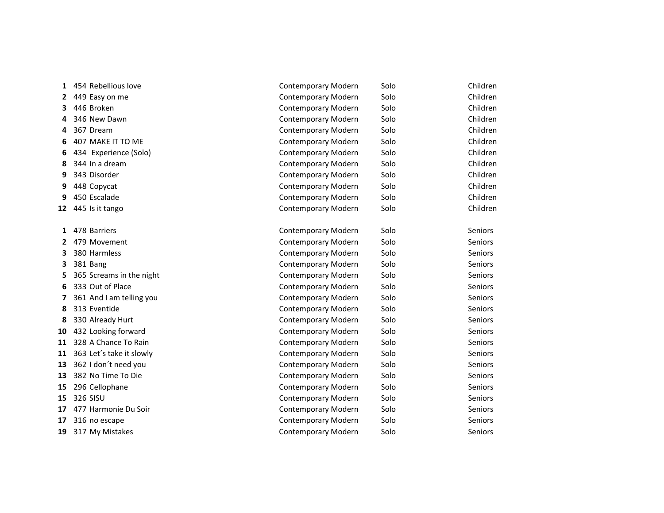| 1  | 454 Rebellious love      | <b>Contemporary Modern</b> | Solo | Children       |
|----|--------------------------|----------------------------|------|----------------|
| 2  | 449 Easy on me           | Contemporary Modern        | Solo | Children       |
| 3  | 446 Broken               | Contemporary Modern        | Solo | Children       |
| 4  | 346 New Dawn             | Contemporary Modern        | Solo | Children       |
| 4  | 367 Dream                | Contemporary Modern        | Solo | Children       |
| 6  | 407 MAKE IT TO ME        | Contemporary Modern        | Solo | Children       |
| 6  | 434 Experience (Solo)    | Contemporary Modern        | Solo | Children       |
| 8  | 344 In a dream           | Contemporary Modern        | Solo | Children       |
| 9  | 343 Disorder             | Contemporary Modern        | Solo | Children       |
| 9  | 448 Copycat              | Contemporary Modern        | Solo | Children       |
| 9  | 450 Escalade             | Contemporary Modern        | Solo | Children       |
| 12 | 445 Is it tango          | Contemporary Modern        | Solo | Children       |
|    |                          |                            |      |                |
| 1  | 478 Barriers             | Contemporary Modern        | Solo | <b>Seniors</b> |
| 2  | 479 Movement             | <b>Contemporary Modern</b> | Solo | <b>Seniors</b> |
| 3  | 380 Harmless             | Contemporary Modern        | Solo | Seniors        |
| 3  | 381 Bang                 | Contemporary Modern        | Solo | Seniors        |
| 5  | 365 Screams in the night | <b>Contemporary Modern</b> | Solo | Seniors        |
| 6  | 333 Out of Place         | Contemporary Modern        | Solo | Seniors        |
| 7  | 361 And I am telling you | Contemporary Modern        | Solo | <b>Seniors</b> |
| 8  | 313 Eventide             | Contemporary Modern        | Solo | <b>Seniors</b> |
| 8  | 330 Already Hurt         | Contemporary Modern        | Solo | Seniors        |
| 10 | 432 Looking forward      | Contemporary Modern        | Solo | <b>Seniors</b> |
| 11 | 328 A Chance To Rain     | Contemporary Modern        | Solo | Seniors        |
| 11 | 363 Let's take it slowly | Contemporary Modern        | Solo | Seniors        |
| 13 | 362 I don't need you     | Contemporary Modern        | Solo | Seniors        |
| 13 | 382 No Time To Die       | Contemporary Modern        | Solo | Seniors        |
| 15 | 296 Cellophane           | Contemporary Modern        | Solo | <b>Seniors</b> |
| 15 | 326 SISU                 | Contemporary Modern        | Solo | Seniors        |
| 17 | 477 Harmonie Du Soir     | Contemporary Modern        | Solo | Seniors        |
| 17 | 316 no escape            | Contemporary Modern        | Solo | Seniors        |
| 19 | 317 My Mistakes          | Contemporary Modern        | Solo | <b>Seniors</b> |
|    |                          |                            |      |                |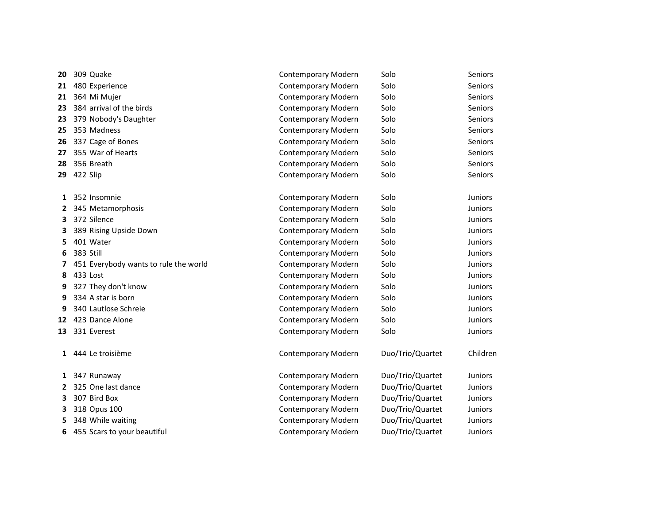| 20           | 309 Quake                             | Contemporary Modern        | Solo             | <b>Seniors</b> |
|--------------|---------------------------------------|----------------------------|------------------|----------------|
| 21           | 480 Experience                        | Contemporary Modern        | Solo             | <b>Seniors</b> |
| 21           | 364 Mi Mujer                          | Contemporary Modern        | Solo             | <b>Seniors</b> |
| 23           | 384 arrival of the birds              | <b>Contemporary Modern</b> | Solo             | <b>Seniors</b> |
| 23           | 379 Nobody's Daughter                 | Contemporary Modern        | Solo             | Seniors        |
| 25           | 353 Madness                           | Contemporary Modern        | Solo             | Seniors        |
| 26           | 337 Cage of Bones                     | Contemporary Modern        | Solo             | <b>Seniors</b> |
| 27           | 355 War of Hearts                     | Contemporary Modern        | Solo             | <b>Seniors</b> |
| 28           | 356 Breath                            | Contemporary Modern        | Solo             | Seniors        |
| 29           | 422 Slip                              | Contemporary Modern        | Solo             | Seniors        |
| 1            | 352 Insomnie                          | Contemporary Modern        | Solo             | <b>Juniors</b> |
| 2            | 345 Metamorphosis                     | <b>Contemporary Modern</b> | Solo             | <b>Juniors</b> |
| 3            | 372 Silence                           | Contemporary Modern        | Solo             | <b>Juniors</b> |
| 3            | 389 Rising Upside Down                | Contemporary Modern        | Solo             | <b>Juniors</b> |
| 5            | 401 Water                             | Contemporary Modern        | Solo             | <b>Juniors</b> |
| 6            | 383 Still                             | Contemporary Modern        | Solo             | <b>Juniors</b> |
| 7            | 451 Everybody wants to rule the world | Contemporary Modern        | Solo             | <b>Juniors</b> |
| 8            | 433 Lost                              | Contemporary Modern        | Solo             | Juniors        |
| 9            | 327 They don't know                   | Contemporary Modern        | Solo             | Juniors        |
| 9            | 334 A star is born                    | Contemporary Modern        | Solo             | <b>Juniors</b> |
| 9            | 340 Lautlose Schreie                  | Contemporary Modern        | Solo             | <b>Juniors</b> |
| 12           | 423 Dance Alone                       | Contemporary Modern        | Solo             | <b>Juniors</b> |
| 13           | 331 Everest                           | Contemporary Modern        | Solo             | Juniors        |
| $\mathbf{1}$ | 444 Le troisième                      | <b>Contemporary Modern</b> | Duo/Trio/Quartet | Children       |
| 1            | 347 Runaway                           | Contemporary Modern        | Duo/Trio/Quartet | <b>Juniors</b> |
| 2            | 325 One last dance                    | Contemporary Modern        | Duo/Trio/Quartet | Juniors        |
| 3            | 307 Bird Box                          | Contemporary Modern        | Duo/Trio/Quartet | <b>Juniors</b> |
| 3            | 318 Opus 100                          | Contemporary Modern        | Duo/Trio/Quartet | <b>Juniors</b> |
| 5            | 348 While waiting                     | Contemporary Modern        | Duo/Trio/Quartet | <b>Juniors</b> |
| 6            | 455 Scars to your beautiful           | Contemporary Modern        | Duo/Trio/Quartet | <b>Juniors</b> |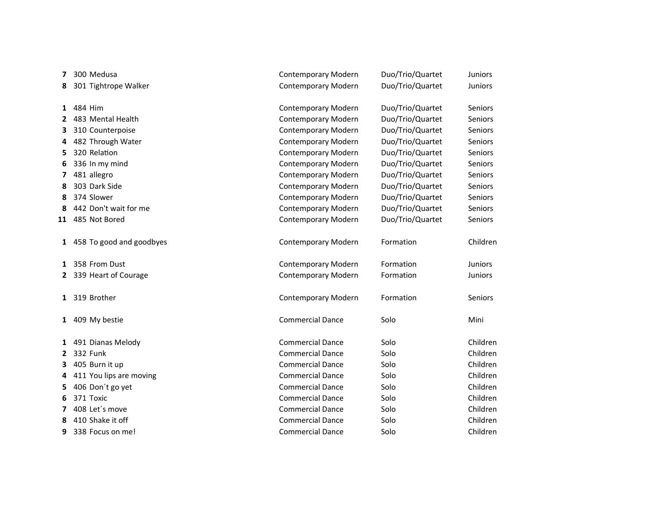| 7            | 300 Medusa                 | Contemporary Modern        | Duo/Trio/Quartet | Juniors        |
|--------------|----------------------------|----------------------------|------------------|----------------|
| 8            | 301 Tightrope Walker       | Contemporary Modern        | Duo/Trio/Quartet | Juniors        |
| 1            | 484 Him                    | Contemporary Modern        | Duo/Trio/Quartet | Seniors        |
| $\mathbf{2}$ | 483 Mental Health          | Contemporary Modern        | Duo/Trio/Quartet | Seniors        |
| 3            | 310 Counterpoise           | Contemporary Modern        | Duo/Trio/Quartet | Seniors        |
| 4            | 482 Through Water          | Contemporary Modern        | Duo/Trio/Quartet | <b>Seniors</b> |
| 5            | 320 Relation               | Contemporary Modern        | Duo/Trio/Quartet | Seniors        |
| 6            | 336 In my mind             | Contemporary Modern        | Duo/Trio/Quartet | Seniors        |
| 7            | 481 allegro                | Contemporary Modern        | Duo/Trio/Quartet | Seniors        |
| 8            | 303 Dark Side              | Contemporary Modern        | Duo/Trio/Quartet | <b>Seniors</b> |
| 8            | 374 Slower                 | Contemporary Modern        | Duo/Trio/Quartet | Seniors        |
| 8            | 442 Don't wait for me      | Contemporary Modern        | Duo/Trio/Quartet | Seniors        |
| 11           | 485 Not Bored              | Contemporary Modern        | Duo/Trio/Quartet | Seniors        |
|              |                            |                            |                  |                |
|              | 1 458 To good and goodbyes | <b>Contemporary Modern</b> | Formation        | Children       |
|              | 1 358 From Dust            | Contemporary Modern        | Formation        | Juniors        |
|              | 2 339 Heart of Courage     | Contemporary Modern        | Formation        | <b>Juniors</b> |
|              | 1 319 Brother              | Contemporary Modern        | Formation        | Seniors        |
|              | 1 409 My bestie            | <b>Commercial Dance</b>    | Solo             | Mini           |
|              | 1 491 Dianas Melody        | <b>Commercial Dance</b>    | Solo             | Children       |
|              | 2 332 Funk                 | <b>Commercial Dance</b>    | Solo             | Children       |
| 3.           | 405 Burn it up             | <b>Commercial Dance</b>    | Solo             | Children       |
| 4            | 411 You lips are moving    | <b>Commercial Dance</b>    | Solo             | Children       |
| 5            | 406 Don't go yet           | <b>Commercial Dance</b>    | Solo             | Children       |
| 6            | 371 Toxic                  | <b>Commercial Dance</b>    | Solo             | Children       |
| 7            | 408 Let's move             | <b>Commercial Dance</b>    | Solo             | Children       |
| 8            | 410 Shake it off           | <b>Commercial Dance</b>    | Solo             | Children       |
| 9            | 338 Focus on me!           | <b>Commercial Dance</b>    | Solo             | Children       |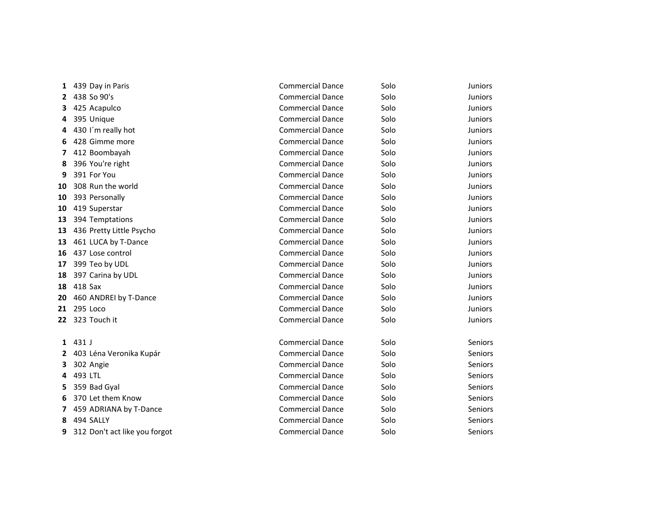| 1  | 439 Day in Paris              | <b>Commercial Dance</b> | Solo | <b>Juniors</b> |
|----|-------------------------------|-------------------------|------|----------------|
| 2  | 438 So 90's                   | <b>Commercial Dance</b> | Solo | <b>Juniors</b> |
| з  | 425 Acapulco                  | <b>Commercial Dance</b> | Solo | <b>Juniors</b> |
| 4  | 395 Unique                    | <b>Commercial Dance</b> | Solo | Juniors        |
| 4  | 430 I'm really hot            | <b>Commercial Dance</b> | Solo | <b>Juniors</b> |
| 6. | 428 Gimme more                | <b>Commercial Dance</b> | Solo | <b>Juniors</b> |
| 7  | 412 Boombayah                 | <b>Commercial Dance</b> | Solo | <b>Juniors</b> |
| 8  | 396 You're right              | <b>Commercial Dance</b> | Solo | Juniors        |
| 9  | 391 For You                   | <b>Commercial Dance</b> | Solo | <b>Juniors</b> |
| 10 | 308 Run the world             | <b>Commercial Dance</b> | Solo | <b>Juniors</b> |
| 10 | 393 Personally                | <b>Commercial Dance</b> | Solo | Juniors        |
| 10 | 419 Superstar                 | <b>Commercial Dance</b> | Solo | Juniors        |
| 13 | 394 Temptations               | <b>Commercial Dance</b> | Solo | <b>Juniors</b> |
| 13 | 436 Pretty Little Psycho      | <b>Commercial Dance</b> | Solo | <b>Juniors</b> |
| 13 | 461 LUCA by T-Dance           | <b>Commercial Dance</b> | Solo | <b>Juniors</b> |
| 16 | 437 Lose control              | <b>Commercial Dance</b> | Solo | <b>Juniors</b> |
| 17 | 399 Teo by UDL                | <b>Commercial Dance</b> | Solo | Juniors        |
| 18 | 397 Carina by UDL             | <b>Commercial Dance</b> | Solo | Juniors        |
| 18 | 418 Sax                       | <b>Commercial Dance</b> | Solo | <b>Juniors</b> |
| 20 | 460 ANDREI by T-Dance         | <b>Commercial Dance</b> | Solo | <b>Juniors</b> |
| 21 | 295 Loco                      | <b>Commercial Dance</b> | Solo | Juniors        |
| 22 | 323 Touch it                  | <b>Commercial Dance</b> | Solo | <b>Juniors</b> |
| 1  | 431 J                         | <b>Commercial Dance</b> | Solo | Seniors        |
| 2  | 403 Léna Veronika Kupár       | <b>Commercial Dance</b> | Solo | Seniors        |
| З  | 302 Angie                     | <b>Commercial Dance</b> | Solo | Seniors        |
| 4  | 493 LTL                       | <b>Commercial Dance</b> | Solo | <b>Seniors</b> |
| 5  | 359 Bad Gyal                  | <b>Commercial Dance</b> | Solo | Seniors        |
| 6  | 370 Let them Know             | <b>Commercial Dance</b> | Solo | Seniors        |
| 7  | 459 ADRIANA by T-Dance        | <b>Commercial Dance</b> | Solo | Seniors        |
| 8  | 494 SALLY                     | <b>Commercial Dance</b> | Solo | Seniors        |
| 9  | 312 Don't act like you forgot | <b>Commercial Dance</b> | Solo | Seniors        |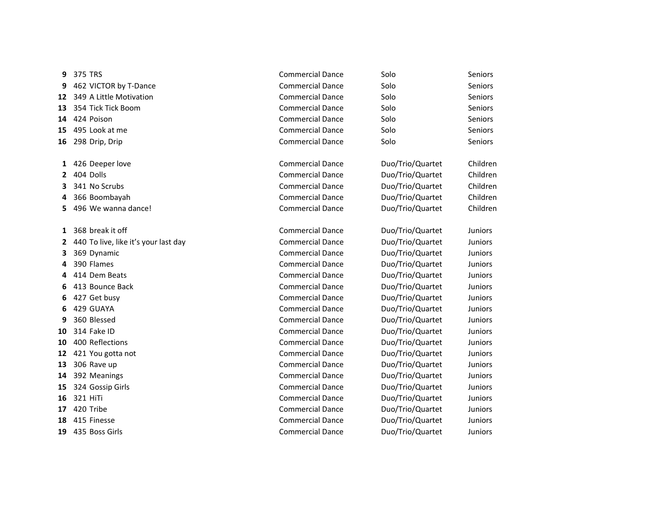| 9  | 375 TRS                              | <b>Commercial Dance</b> | Solo             | Seniors        |
|----|--------------------------------------|-------------------------|------------------|----------------|
| 9  | 462 VICTOR by T-Dance                | <b>Commercial Dance</b> | Solo             | <b>Seniors</b> |
| 12 | 349 A Little Motivation              | <b>Commercial Dance</b> | Solo             | <b>Seniors</b> |
| 13 | 354 Tick Tick Boom                   | <b>Commercial Dance</b> | Solo             | Seniors        |
| 14 | 424 Poison                           | <b>Commercial Dance</b> | Solo             | Seniors        |
| 15 | 495 Look at me                       | <b>Commercial Dance</b> | Solo             | <b>Seniors</b> |
| 16 | 298 Drip, Drip                       | <b>Commercial Dance</b> | Solo             | <b>Seniors</b> |
|    |                                      |                         |                  |                |
| 1  | 426 Deeper love                      | <b>Commercial Dance</b> | Duo/Trio/Quartet | Children       |
| 2  | 404 Dolls                            | <b>Commercial Dance</b> | Duo/Trio/Quartet | Children       |
| 3  | 341 No Scrubs                        | <b>Commercial Dance</b> | Duo/Trio/Quartet | Children       |
| 4  | 366 Boombayah                        | <b>Commercial Dance</b> | Duo/Trio/Quartet | Children       |
| 5  | 496 We wanna dance!                  | <b>Commercial Dance</b> | Duo/Trio/Quartet | Children       |
|    |                                      |                         |                  |                |
| 1  | 368 break it off                     | <b>Commercial Dance</b> | Duo/Trio/Quartet | <b>Juniors</b> |
| 2  | 440 To live, like it's your last day | <b>Commercial Dance</b> | Duo/Trio/Quartet | <b>Juniors</b> |
| 3  | 369 Dynamic                          | <b>Commercial Dance</b> | Duo/Trio/Quartet | Juniors        |
| 4  | 390 Flames                           | <b>Commercial Dance</b> | Duo/Trio/Quartet | <b>Juniors</b> |
| 4  | 414 Dem Beats                        | <b>Commercial Dance</b> | Duo/Trio/Quartet | <b>Juniors</b> |
| 6  | 413 Bounce Back                      | <b>Commercial Dance</b> | Duo/Trio/Quartet | <b>Juniors</b> |
| 6  | 427 Get busy                         | <b>Commercial Dance</b> | Duo/Trio/Quartet | Juniors        |
| 6  | 429 GUAYA                            | <b>Commercial Dance</b> | Duo/Trio/Quartet | <b>Juniors</b> |
| q  | 360 Blessed                          | <b>Commercial Dance</b> | Duo/Trio/Quartet | <b>Juniors</b> |
| 10 | 314 Fake ID                          | <b>Commercial Dance</b> | Duo/Trio/Quartet | <b>Juniors</b> |
| 10 | 400 Reflections                      | <b>Commercial Dance</b> | Duo/Trio/Quartet | <b>Juniors</b> |
| 12 | 421 You gotta not                    | <b>Commercial Dance</b> | Duo/Trio/Quartet | <b>Juniors</b> |
| 13 | 306 Rave up                          | <b>Commercial Dance</b> | Duo/Trio/Quartet | Juniors        |
| 14 | 392 Meanings                         | <b>Commercial Dance</b> | Duo/Trio/Quartet | Juniors        |
| 15 | 324 Gossip Girls                     | <b>Commercial Dance</b> | Duo/Trio/Quartet | <b>Juniors</b> |
| 16 | 321 HiTi                             | <b>Commercial Dance</b> | Duo/Trio/Quartet | Juniors        |
| 17 | 420 Tribe                            | <b>Commercial Dance</b> | Duo/Trio/Quartet | <b>Juniors</b> |
| 18 | 415 Finesse                          | <b>Commercial Dance</b> | Duo/Trio/Quartet | <b>Juniors</b> |
| 19 | 435 Boss Girls                       | <b>Commercial Dance</b> | Duo/Trio/Quartet | Juniors        |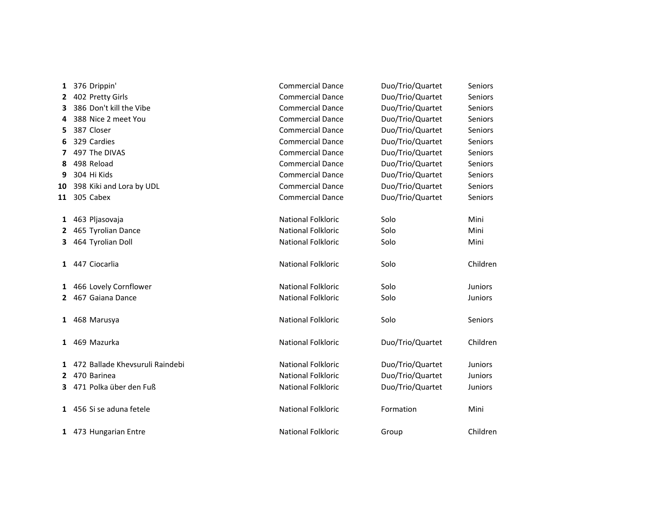| 1            | 376 Drippin'                      | <b>Commercial Dance</b>   | Duo/Trio/Quartet | Seniors        |
|--------------|-----------------------------------|---------------------------|------------------|----------------|
| $\mathbf{2}$ | 402 Pretty Girls                  | <b>Commercial Dance</b>   | Duo/Trio/Quartet | Seniors        |
| 3            | 386 Don't kill the Vibe           | <b>Commercial Dance</b>   | Duo/Trio/Quartet | Seniors        |
| 4            | 388 Nice 2 meet You               | <b>Commercial Dance</b>   | Duo/Trio/Quartet | Seniors        |
| 5            | 387 Closer                        | <b>Commercial Dance</b>   | Duo/Trio/Quartet | Seniors        |
| 6            | 329 Cardies                       | <b>Commercial Dance</b>   | Duo/Trio/Quartet | Seniors        |
| 7            | 497 The DIVAS                     | <b>Commercial Dance</b>   | Duo/Trio/Quartet | Seniors        |
| 8            | 498 Reload                        | <b>Commercial Dance</b>   | Duo/Trio/Quartet | Seniors        |
| 9            | 304 Hi Kids                       | <b>Commercial Dance</b>   | Duo/Trio/Quartet | Seniors        |
|              | 10 398 Kiki and Lora by UDL       | <b>Commercial Dance</b>   | Duo/Trio/Quartet | Seniors        |
| 11           | 305 Cabex                         | <b>Commercial Dance</b>   | Duo/Trio/Quartet | Seniors        |
|              | 1 463 Pljasovaja                  | National Folkloric        | Solo             | Mini           |
| $\mathbf{2}$ | 465 Tyrolian Dance                | <b>National Folkloric</b> | Solo             | Mini           |
| 3.           | 464 Tyrolian Doll                 | <b>National Folkloric</b> | Solo             | Mini           |
| $\mathbf{1}$ | 447 Ciocarlia                     | National Folkloric        | Solo             | Children       |
| $\mathbf{1}$ | 466 Lovely Cornflower             | <b>National Folkloric</b> | Solo             | <b>Juniors</b> |
| $\mathbf{2}$ | 467 Gaiana Dance                  | <b>National Folkloric</b> | Solo             | Juniors        |
| $\mathbf{1}$ | 468 Marusya                       | National Folkloric        | Solo             | Seniors        |
|              | 1 469 Mazurka                     | <b>National Folkloric</b> | Duo/Trio/Quartet | Children       |
|              | 1 472 Ballade Khevsuruli Raindebi | <b>National Folkloric</b> | Duo/Trio/Quartet | <b>Juniors</b> |
|              | 2 470 Barinea                     | <b>National Folkloric</b> | Duo/Trio/Quartet | Juniors        |
|              | 3 471 Polka über den Fuß          | <b>National Folkloric</b> | Duo/Trio/Quartet | Juniors        |
|              | 1 456 Si se aduna fetele          | National Folkloric        | Formation        | Mini           |
|              | 1 473 Hungarian Entre             | <b>National Folkloric</b> | Group            | Children       |
|              |                                   |                           |                  |                |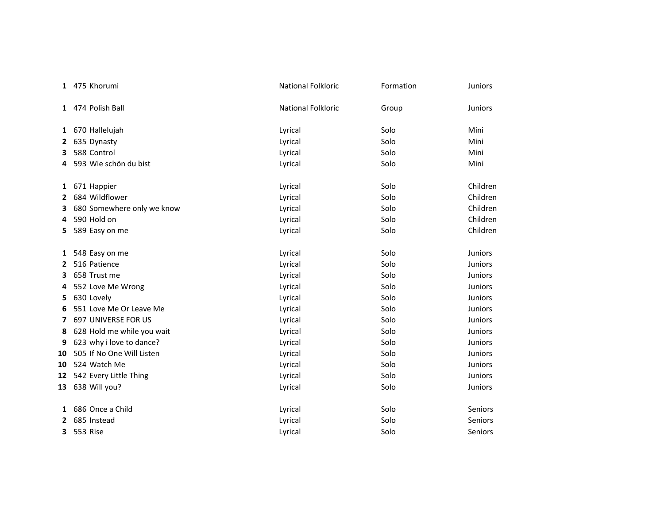|    | 1 475 Khorumi                | National Folkloric | Formation | Juniors        |
|----|------------------------------|--------------------|-----------|----------------|
|    | 1 474 Polish Ball            | National Folkloric | Group     | <b>Juniors</b> |
|    | 1 670 Hallelujah             | Lyrical            | Solo      | Mini           |
| 2  | 635 Dynasty                  | Lyrical            | Solo      | Mini           |
| з  | 588 Control                  | Lyrical            | Solo      | Mini           |
| 4  | 593 Wie schön du bist        | Lyrical            | Solo      | Mini           |
|    | 1 671 Happier                | Lyrical            | Solo      | Children       |
| 2  | 684 Wildflower               | Lyrical            | Solo      | Children       |
| 3  | 680 Somewhere only we know   | Lyrical            | Solo      | Children       |
| 4  | 590 Hold on                  | Lyrical            | Solo      | Children       |
| 5. | 589 Easy on me               | Lyrical            | Solo      | Children       |
|    | 1 548 Easy on me             | Lyrical            | Solo      | <b>Juniors</b> |
| 2  | 516 Patience                 | Lyrical            | Solo      | <b>Juniors</b> |
| 3  | 658 Trust me                 | Lyrical            | Solo      | <b>Juniors</b> |
| 4  | 552 Love Me Wrong            | Lyrical            | Solo      | <b>Juniors</b> |
|    | 5 630 Lovely                 | Lyrical            | Solo      | Juniors        |
| 6  | 551 Love Me Or Leave Me      | Lyrical            | Solo      | <b>Juniors</b> |
| 7  | 697 UNIVERSE FOR US          | Lyrical            | Solo      | <b>Juniors</b> |
| 8  | 628 Hold me while you wait   | Lyrical            | Solo      | <b>Juniors</b> |
| 9  | 623 why i love to dance?     | Lyrical            | Solo      | <b>Juniors</b> |
|    | 10 505 If No One Will Listen | Lyrical            | Solo      | <b>Juniors</b> |
|    | 10 524 Watch Me              | Lyrical            | Solo      | <b>Juniors</b> |
|    | 12 542 Every Little Thing    | Lyrical            | Solo      | Juniors        |
|    | 13 638 Will you?             | Lyrical            | Solo      | <b>Juniors</b> |
| 1  | 686 Once a Child             | Lyrical            | Solo      | Seniors        |
| 2  | 685 Instead                  | Lyrical            | Solo      | Seniors        |
| 3  | 553 Rise                     | Lyrical            | Solo      | <b>Seniors</b> |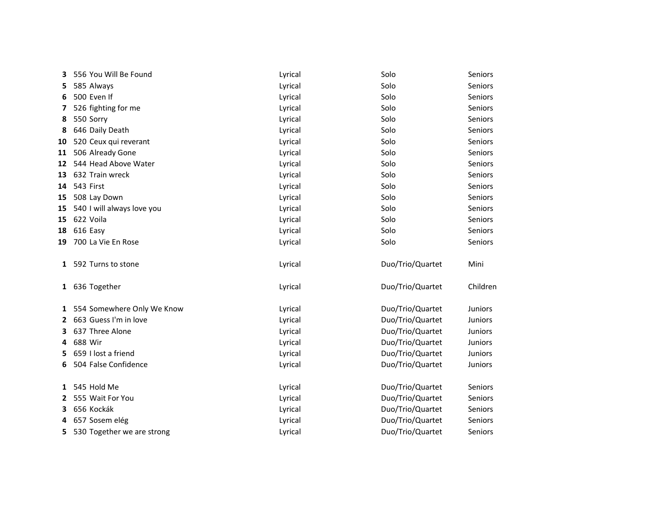| 556 You Will Be Found      | Lyrical                                             | Solo             | Seniors          |
|----------------------------|-----------------------------------------------------|------------------|------------------|
| 585 Always                 | Lyrical                                             | Solo             | Seniors          |
| 500 Even If                | Lyrical                                             | Solo             | Seniors          |
| 526 fighting for me        | Lyrical                                             | Solo             | Seniors          |
| 550 Sorry                  | Lyrical                                             | Solo             | Seniors          |
| 646 Daily Death            | Lyrical                                             | Solo             | Seniors          |
| 520 Ceux qui reverant      | Lyrical                                             | Solo             | Seniors          |
| 506 Already Gone           | Lyrical                                             | Solo             | Seniors          |
| 544 Head Above Water       | Lyrical                                             | Solo             | Seniors          |
| 632 Train wreck            | Lyrical                                             | Solo             | Seniors          |
| 543 First                  | Lyrical                                             | Solo             | Seniors          |
| 508 Lay Down               | Lyrical                                             | Solo             | Seniors          |
| 540 I will always love you | Lyrical                                             | Solo             | Seniors          |
| 622 Voila                  | Lyrical                                             | Solo             | Seniors          |
| 616 Easy                   | Lyrical                                             | Solo             | Seniors          |
| 700 La Vie En Rose         | Lyrical                                             | Solo             | Seniors          |
| 592 Turns to stone         | Lyrical                                             | Duo/Trio/Quartet | Mini             |
|                            | Lyrical                                             | Duo/Trio/Quartet | Children         |
|                            | Lyrical                                             | Duo/Trio/Quartet | Juniors          |
| 663 Guess I'm in love      | Lyrical                                             | Duo/Trio/Quartet | <b>Juniors</b>   |
| 637 Three Alone            | Lyrical                                             | Duo/Trio/Quartet | <b>Juniors</b>   |
| 688 Wir                    | Lyrical                                             | Duo/Trio/Quartet | <b>Juniors</b>   |
| 659 I lost a friend        | Lyrical                                             | Duo/Trio/Quartet | Juniors          |
| 504 False Confidence       | Lyrical                                             | Duo/Trio/Quartet | Juniors          |
| 545 Hold Me                |                                                     |                  | Seniors          |
| 555 Wait For You           | Lyrical                                             | Duo/Trio/Quartet | Seniors          |
| 656 Kockák                 | Lyrical                                             | Duo/Trio/Quartet | <b>Seniors</b>   |
| 657 Sosem elég             | Lyrical                                             | Duo/Trio/Quartet | Seniors          |
| 530 Together we are strong | Lyrical                                             | Duo/Trio/Quartet | Seniors          |
|                            | 1 636 Together<br>1 554 Somewhere Only We Know<br>1 | Lyrical          | Duo/Trio/Quartet |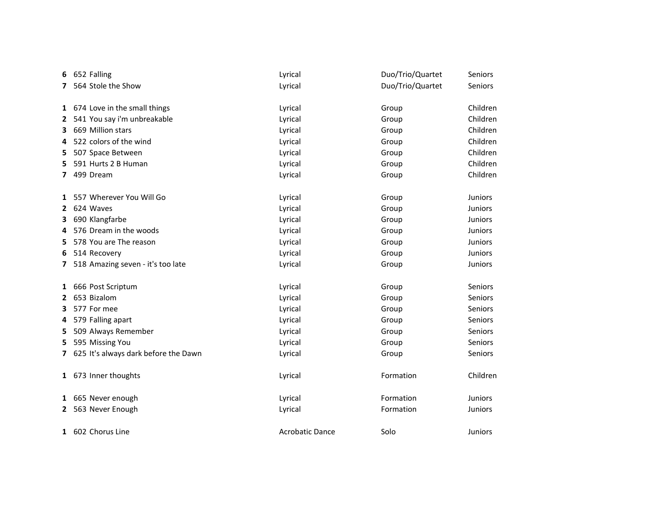| 6 | 652 Falling                            | Lyrical                | Duo/Trio/Quartet | Seniors        |
|---|----------------------------------------|------------------------|------------------|----------------|
|   | 7 564 Stole the Show                   | Lyrical                | Duo/Trio/Quartet | Seniors        |
|   |                                        |                        |                  |                |
|   | 1 674 Love in the small things         | Lyrical                | Group            | Children       |
| 2 | 541 You say i'm unbreakable            | Lyrical                | Group            | Children       |
| 3 | 669 Million stars                      | Lyrical                | Group            | Children       |
| 4 | 522 colors of the wind                 | Lyrical                | Group            | Children       |
| 5 | 507 Space Between                      | Lyrical                | Group            | Children       |
| 5 | 591 Hurts 2 B Human                    | Lyrical                | Group            | Children       |
| 7 | 499 Dream                              | Lyrical                | Group            | Children       |
|   |                                        |                        |                  |                |
| 1 | 557 Wherever You Will Go               | Lyrical                | Group            | <b>Juniors</b> |
| 2 | 624 Waves                              | Lyrical                | Group            | Juniors        |
| 3 | 690 Klangfarbe                         | Lyrical                | Group            | Juniors        |
| 4 | 576 Dream in the woods                 | Lyrical                | Group            | <b>Juniors</b> |
| 5 | 578 You are The reason                 | Lyrical                | Group            | <b>Juniors</b> |
| 6 | 514 Recovery                           | Lyrical                | Group            | <b>Juniors</b> |
| 7 | 518 Amazing seven - it's too late      | Lyrical                | Group            | Juniors        |
|   |                                        |                        |                  |                |
|   | 1 666 Post Scriptum                    | Lyrical                | Group            | Seniors        |
| 2 | 653 Bizalom                            | Lyrical                | Group            | Seniors        |
| 3 | 577 For mee                            | Lyrical                | Group            | Seniors        |
| 4 | 579 Falling apart                      | Lyrical                | Group            | Seniors        |
| 5 | 509 Always Remember                    | Lyrical                | Group            | Seniors        |
| 5 | 595 Missing You                        | Lyrical                | Group            | Seniors        |
|   | 7 625 It's always dark before the Dawn | Lyrical                | Group            | Seniors        |
|   |                                        |                        |                  |                |
|   | 1 673 Inner thoughts                   | Lyrical                | Formation        | Children       |
|   |                                        |                        |                  |                |
|   | 1 665 Never enough                     | Lyrical                | Formation        | Juniors        |
|   | 2 563 Never Enough                     | Lyrical                | Formation        | Juniors        |
|   | 1 602 Chorus Line                      | <b>Acrobatic Dance</b> | Solo             | <b>Juniors</b> |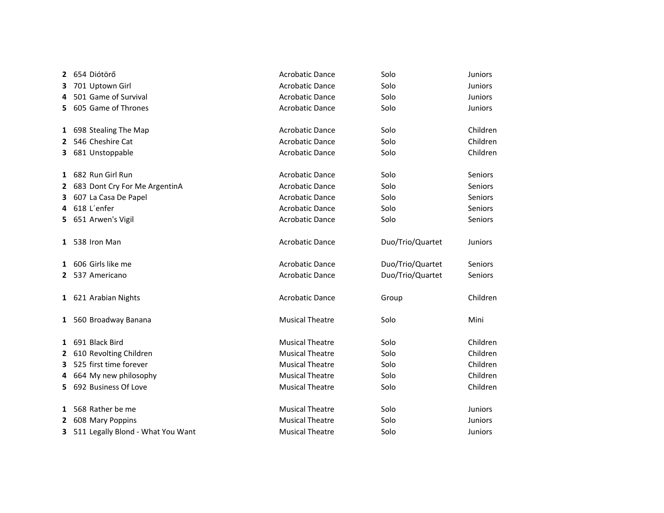| 2            | 654 Diótörő                         | <b>Acrobatic Dance</b> | Solo             | <b>Juniors</b> |
|--------------|-------------------------------------|------------------------|------------------|----------------|
| 3            | 701 Uptown Girl                     | <b>Acrobatic Dance</b> | Solo             | <b>Juniors</b> |
| 4            | 501 Game of Survival                | <b>Acrobatic Dance</b> | Solo             | <b>Juniors</b> |
| 5.           | 605 Game of Thrones                 | <b>Acrobatic Dance</b> | Solo             | <b>Juniors</b> |
|              | 1 698 Stealing The Map              | <b>Acrobatic Dance</b> | Solo             | Children       |
| $\mathbf{2}$ | 546 Cheshire Cat                    | <b>Acrobatic Dance</b> | Solo             | Children       |
|              | 3 681 Unstoppable                   | <b>Acrobatic Dance</b> | Solo             | Children       |
|              | 1 682 Run Girl Run                  | <b>Acrobatic Dance</b> | Solo             | Seniors        |
|              | 2 683 Dont Cry For Me ArgentinA     | <b>Acrobatic Dance</b> | Solo             | Seniors        |
| 3.           | 607 La Casa De Papel                | <b>Acrobatic Dance</b> | Solo             | Seniors        |
| 4            | 618 L'enfer                         | <b>Acrobatic Dance</b> | Solo             | Seniors        |
|              | 5 651 Arwen's Vigil                 | <b>Acrobatic Dance</b> | Solo             | Seniors        |
|              | 1 538 Iron Man                      | <b>Acrobatic Dance</b> | Duo/Trio/Quartet | <b>Juniors</b> |
| 1            | 606 Girls like me                   | <b>Acrobatic Dance</b> | Duo/Trio/Quartet | <b>Seniors</b> |
| 2            | 537 Americano                       | <b>Acrobatic Dance</b> | Duo/Trio/Quartet | Seniors        |
|              | 1 621 Arabian Nights                | <b>Acrobatic Dance</b> | Group            | Children       |
|              | 1 560 Broadway Banana               | <b>Musical Theatre</b> | Solo             | Mini           |
|              | 1 691 Black Bird                    | <b>Musical Theatre</b> | Solo             | Children       |
|              | 2 610 Revolting Children            | <b>Musical Theatre</b> | Solo             | Children       |
| 3            | 525 first time forever              | <b>Musical Theatre</b> | Solo             | Children       |
| 4            | 664 My new philosophy               | <b>Musical Theatre</b> | Solo             | Children       |
|              | 5 692 Business Of Love              | <b>Musical Theatre</b> | Solo             | Children       |
| 1            | 568 Rather be me                    | <b>Musical Theatre</b> | Solo             | <b>Juniors</b> |
|              | 2 608 Mary Poppins                  | <b>Musical Theatre</b> | Solo             | <b>Juniors</b> |
|              | 3 511 Legally Blond - What You Want | <b>Musical Theatre</b> | Solo             | <b>Juniors</b> |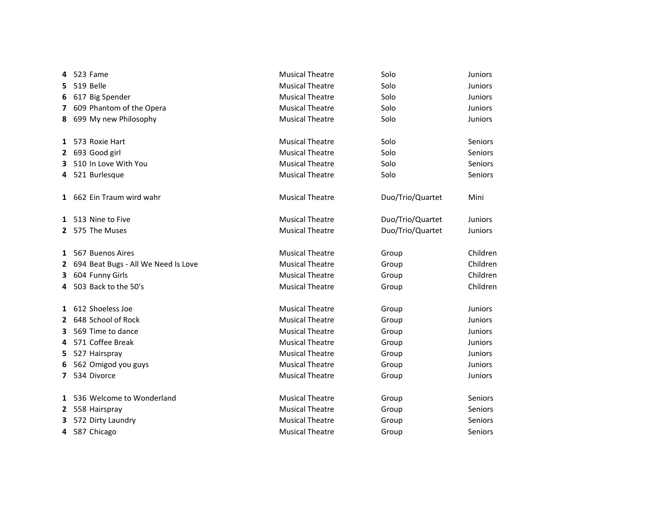| 4            | 523 Fame                            | <b>Musical Theatre</b> | Solo             | <b>Juniors</b> |
|--------------|-------------------------------------|------------------------|------------------|----------------|
| 5            | 519 Belle                           | <b>Musical Theatre</b> | Solo             | <b>Juniors</b> |
| 6            | 617 Big Spender                     | <b>Musical Theatre</b> | Solo             | <b>Juniors</b> |
|              | 7 609 Phantom of the Opera          | <b>Musical Theatre</b> | Solo             | <b>Juniors</b> |
|              | 8 699 My new Philosophy             | <b>Musical Theatre</b> | Solo             | Juniors        |
|              | 1 573 Roxie Hart                    | <b>Musical Theatre</b> | Solo             | Seniors        |
| 2            | 693 Good girl                       | <b>Musical Theatre</b> | Solo             | Seniors        |
| 3            | 510 In Love With You                | <b>Musical Theatre</b> | Solo             | Seniors        |
| 4            | 521 Burlesque                       | <b>Musical Theatre</b> | Solo             | Seniors        |
|              | 1 662 Ein Traum wird wahr           | <b>Musical Theatre</b> | Duo/Trio/Quartet | Mini           |
| 1            | 513 Nine to Five                    | <b>Musical Theatre</b> | Duo/Trio/Quartet | Juniors        |
|              | 2 575 The Muses                     | <b>Musical Theatre</b> | Duo/Trio/Quartet | <b>Juniors</b> |
|              | 1 567 Buenos Aires                  | <b>Musical Theatre</b> | Group            | Children       |
| $\mathbf{2}$ | 694 Beat Bugs - All We Need Is Love | <b>Musical Theatre</b> | Group            | Children       |
| 3.           | 604 Funny Girls                     | <b>Musical Theatre</b> | Group            | Children       |
| 4            | 503 Back to the 50's                | <b>Musical Theatre</b> | Group            | Children       |
|              | 1 612 Shoeless Joe                  | <b>Musical Theatre</b> | Group            | <b>Juniors</b> |
| 2            | 648 School of Rock                  | <b>Musical Theatre</b> | Group            | Juniors        |
| 3            | 569 Time to dance                   | <b>Musical Theatre</b> | Group            | <b>Juniors</b> |
| 4            | 571 Coffee Break                    | <b>Musical Theatre</b> | Group            | <b>Juniors</b> |
| 5            | 527 Hairspray                       | <b>Musical Theatre</b> | Group            | <b>Juniors</b> |
| 6            | 562 Omigod you guys                 | <b>Musical Theatre</b> | Group            | <b>Juniors</b> |
| 7            | 534 Divorce                         | <b>Musical Theatre</b> | Group            | <b>Juniors</b> |
| 1            | 536 Welcome to Wonderland           | <b>Musical Theatre</b> | Group            | Seniors        |
|              | 2 558 Hairspray                     | <b>Musical Theatre</b> | Group            | Seniors        |
| 3            | 572 Dirty Laundry                   | <b>Musical Theatre</b> | Group            | Seniors        |
| 4            | 587 Chicago                         | <b>Musical Theatre</b> | Group            | Seniors        |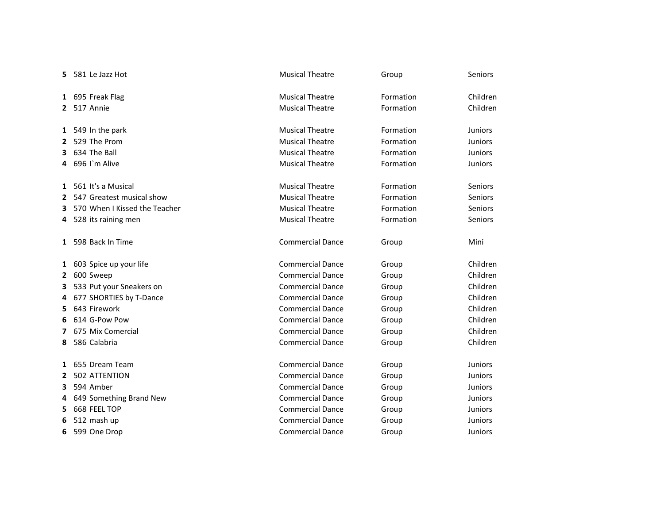| 5.           | 581 Le Jazz Hot               | <b>Musical Theatre</b>  | Group     | Seniors        |
|--------------|-------------------------------|-------------------------|-----------|----------------|
|              | 1 695 Freak Flag              | <b>Musical Theatre</b>  | Formation | Children       |
|              | 2 517 Annie                   | <b>Musical Theatre</b>  | Formation | Children       |
|              | 1 549 In the park             | <b>Musical Theatre</b>  | Formation | <b>Juniors</b> |
| $\mathbf{2}$ | 529 The Prom                  | <b>Musical Theatre</b>  | Formation | <b>Juniors</b> |
| 3            | 634 The Ball                  | <b>Musical Theatre</b>  | Formation | <b>Juniors</b> |
| 4            | 696 I'm Alive                 | <b>Musical Theatre</b>  | Formation | <b>Juniors</b> |
|              | 1 561 It's a Musical          | <b>Musical Theatre</b>  | Formation | <b>Seniors</b> |
| $\mathbf{2}$ | 547 Greatest musical show     | <b>Musical Theatre</b>  | Formation | Seniors        |
| 3            | 570 When I Kissed the Teacher | <b>Musical Theatre</b>  | Formation | Seniors        |
|              | 4 528 its raining men         | <b>Musical Theatre</b>  | Formation | <b>Seniors</b> |
|              | 1 598 Back In Time            | <b>Commercial Dance</b> | Group     | Mini           |
|              | 1 603 Spice up your life      | <b>Commercial Dance</b> | Group     | Children       |
| $\mathbf{2}$ | 600 Sweep                     | <b>Commercial Dance</b> | Group     | Children       |
| 3            | 533 Put your Sneakers on      | <b>Commercial Dance</b> | Group     | Children       |
| 4            | 677 SHORTIES by T-Dance       | <b>Commercial Dance</b> | Group     | Children       |
| 5.           | 643 Firework                  | <b>Commercial Dance</b> | Group     | Children       |
| 6            | 614 G-Pow Pow                 | <b>Commercial Dance</b> | Group     | Children       |
| 7            | 675 Mix Comercial             | <b>Commercial Dance</b> | Group     | Children       |
| 8            | 586 Calabria                  | <b>Commercial Dance</b> | Group     | Children       |
|              | 1 655 Dream Team              | <b>Commercial Dance</b> | Group     | Juniors        |
| 2            | 502 ATTENTION                 | <b>Commercial Dance</b> | Group     | <b>Juniors</b> |
| 3            | 594 Amber                     | <b>Commercial Dance</b> | Group     | <b>Juniors</b> |
| 4            | 649 Something Brand New       | <b>Commercial Dance</b> | Group     | <b>Juniors</b> |
| 5.           | 668 FEEL TOP                  | <b>Commercial Dance</b> | Group     | <b>Juniors</b> |
| 6            | 512 mash up                   | <b>Commercial Dance</b> | Group     | <b>Juniors</b> |
| 6            | 599 One Drop                  | <b>Commercial Dance</b> | Group     | <b>Juniors</b> |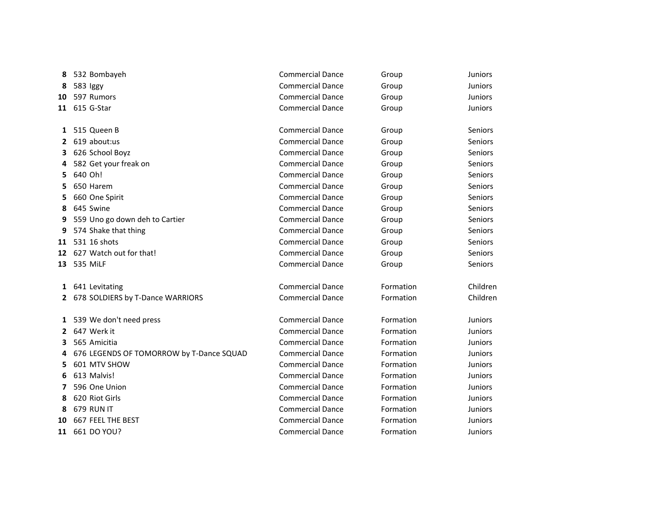| 8            | 532 Bombayeh                             | <b>Commercial Dance</b> | Group     | <b>Juniors</b> |
|--------------|------------------------------------------|-------------------------|-----------|----------------|
| 8            | 583 Iggy                                 | <b>Commercial Dance</b> | Group     | <b>Juniors</b> |
| 10           | 597 Rumors                               | <b>Commercial Dance</b> | Group     | <b>Juniors</b> |
|              | 11 615 G-Star                            | <b>Commercial Dance</b> | Group     | <b>Juniors</b> |
| 1            | 515 Queen B                              | <b>Commercial Dance</b> | Group     | Seniors        |
| $\mathbf{2}$ | 619 about:us                             | <b>Commercial Dance</b> | Group     | <b>Seniors</b> |
| 3            | 626 School Boyz                          | <b>Commercial Dance</b> | Group     | <b>Seniors</b> |
|              | 582 Get your freak on                    | <b>Commercial Dance</b> | Group     | Seniors        |
| 5.           | 640 Oh!                                  | <b>Commercial Dance</b> | Group     | Seniors        |
| 5.           | 650 Harem                                | <b>Commercial Dance</b> | Group     | <b>Seniors</b> |
| 5            | 660 One Spirit                           | <b>Commercial Dance</b> | Group     | Seniors        |
| 8            | 645 Swine                                | <b>Commercial Dance</b> | Group     | Seniors        |
| 9            | 559 Uno go down deh to Cartier           | <b>Commercial Dance</b> | Group     | Seniors        |
| 9            | 574 Shake that thing                     | <b>Commercial Dance</b> | Group     | <b>Seniors</b> |
|              | 11 531 16 shots                          | <b>Commercial Dance</b> | Group     | <b>Seniors</b> |
| 12           | 627 Watch out for that!                  | <b>Commercial Dance</b> | Group     | <b>Seniors</b> |
| 13           | 535 MiLF                                 | <b>Commercial Dance</b> | Group     | <b>Seniors</b> |
|              | 1 641 Levitating                         | <b>Commercial Dance</b> | Formation | Children       |
|              | 2 678 SOLDIERS by T-Dance WARRIORS       | <b>Commercial Dance</b> | Formation | Children       |
| 1            | 539 We don't need press                  | <b>Commercial Dance</b> | Formation | <b>Juniors</b> |
| 2            | 647 Werk it                              | <b>Commercial Dance</b> | Formation | <b>Juniors</b> |
| 3            | 565 Amicitia                             | <b>Commercial Dance</b> | Formation | Juniors        |
| 4            | 676 LEGENDS OF TOMORROW by T-Dance SQUAD | <b>Commercial Dance</b> | Formation | <b>Juniors</b> |
| 5.           | 601 MTV SHOW                             | <b>Commercial Dance</b> | Formation | <b>Juniors</b> |
| 6            | 613 Malvis!                              | <b>Commercial Dance</b> | Formation | <b>Juniors</b> |
| 7            | 596 One Union                            | <b>Commercial Dance</b> | Formation | <b>Juniors</b> |
| 8            | 620 Riot Girls                           | <b>Commercial Dance</b> | Formation | <b>Juniors</b> |
| 8            | 679 RUN IT                               | <b>Commercial Dance</b> | Formation | <b>Juniors</b> |
| 10           | 667 FEEL THE BEST                        | <b>Commercial Dance</b> | Formation | <b>Juniors</b> |
|              | 11 661 DO YOU?                           | <b>Commercial Dance</b> | Formation | <b>Juniors</b> |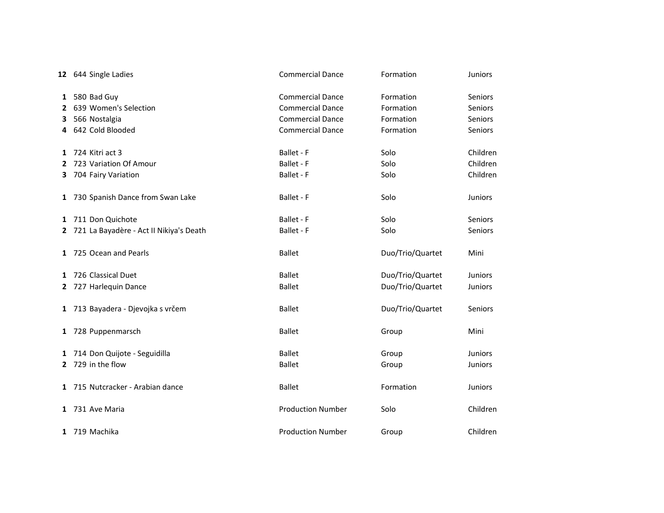|   | 12 644 Single Ladies                      | <b>Commercial Dance</b>  | Formation        | Juniors        |
|---|-------------------------------------------|--------------------------|------------------|----------------|
|   | 1 580 Bad Guy                             | <b>Commercial Dance</b>  | Formation        | Seniors        |
|   | 2 639 Women's Selection                   | <b>Commercial Dance</b>  | Formation        | Seniors        |
|   | 3 566 Nostalgia                           | <b>Commercial Dance</b>  | Formation        | Seniors        |
| 4 | 642 Cold Blooded                          | <b>Commercial Dance</b>  | Formation        | Seniors        |
|   | 1 724 Kitri act 3                         | Ballet - F               | Solo             | Children       |
| 2 | 723 Variation Of Amour                    | Ballet - F               | Solo             | Children       |
|   | 3 704 Fairy Variation                     | Ballet - F               | Solo             | Children       |
|   | 1 730 Spanish Dance from Swan Lake        | Ballet - F               | Solo             | Juniors        |
|   | 1 711 Don Quichote                        | Ballet - F               | Solo             | Seniors        |
|   | 2 721 La Bayadère - Act II Nikiya's Death | Ballet - F               | Solo             | Seniors        |
|   | 1 725 Ocean and Pearls                    | <b>Ballet</b>            | Duo/Trio/Quartet | Mini           |
|   | 1 726 Classical Duet                      | <b>Ballet</b>            | Duo/Trio/Quartet | <b>Juniors</b> |
|   | 2 727 Harlequin Dance                     | <b>Ballet</b>            | Duo/Trio/Quartet | <b>Juniors</b> |
|   | 1 713 Bayadera - Djevojka s vrčem         | <b>Ballet</b>            | Duo/Trio/Quartet | Seniors        |
|   | 1 728 Puppenmarsch                        | <b>Ballet</b>            | Group            | Mini           |
|   | 1 714 Don Quijote - Seguidilla            | <b>Ballet</b>            | Group            | <b>Juniors</b> |
|   | 2 729 in the flow                         | <b>Ballet</b>            | Group            | <b>Juniors</b> |
|   | 1 715 Nutcracker - Arabian dance          | <b>Ballet</b>            | Formation        | Juniors        |
|   | 1 731 Ave Maria                           | <b>Production Number</b> | Solo             | Children       |
|   | 1 719 Machika                             | <b>Production Number</b> | Group            | Children       |